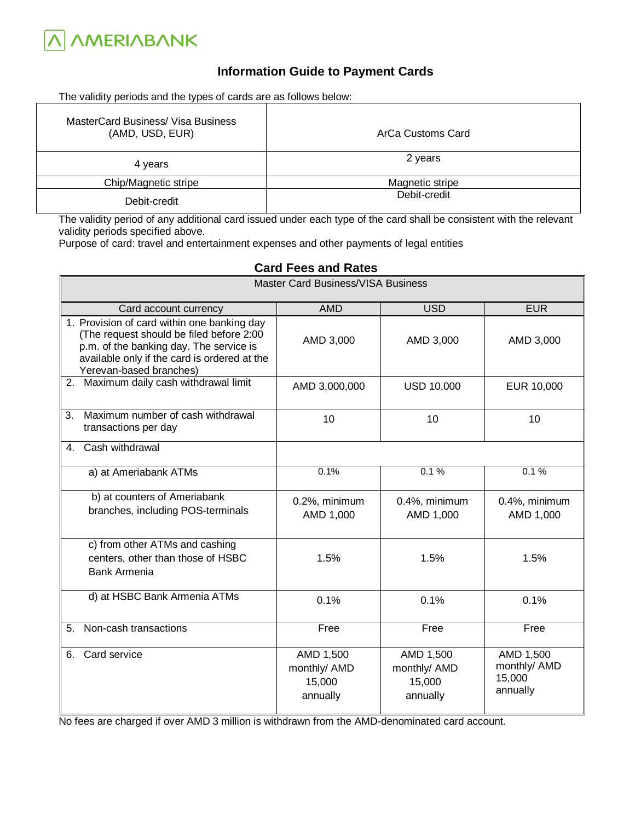

#### **Information Guide to Payment Cards**

The validity periods and the types of cards are as follows below:

| <b>MasterCard Business/ Visa Business</b><br>(AMD, USD, EUR) | ArCa Customs Card |
|--------------------------------------------------------------|-------------------|
| 4 years                                                      | 2 years           |
| Chip/Magnetic stripe                                         | Magnetic stripe   |
| Debit-credit                                                 | Debit-credit      |

The validity period of any additional card issued under each type of the card shall be consistent with the relevant validity periods specified above.

Purpose of card: travel and entertainment expenses and other payments of legal entities

| Card Fees and Rates                                                                                                                                                                                           |                                                 |                                                 |                                                 |  |
|---------------------------------------------------------------------------------------------------------------------------------------------------------------------------------------------------------------|-------------------------------------------------|-------------------------------------------------|-------------------------------------------------|--|
| Master Card Business/VISA Business                                                                                                                                                                            |                                                 |                                                 |                                                 |  |
| Card account currency                                                                                                                                                                                         | <b>AMD</b>                                      | <b>USD</b>                                      | <b>EUR</b>                                      |  |
| 1. Provision of card within one banking day<br>(The request should be filed before 2:00<br>p.m. of the banking day. The service is<br>available only if the card is ordered at the<br>Yerevan-based branches) | AMD 3,000                                       | AMD 3,000                                       | AMD 3,000                                       |  |
| 2. Maximum daily cash withdrawal limit                                                                                                                                                                        | AMD 3,000,000                                   | <b>USD 10,000</b>                               | EUR 10,000                                      |  |
| Maximum number of cash withdrawal<br>3.<br>transactions per day                                                                                                                                               | 10                                              | 10                                              | 10                                              |  |
| Cash withdrawal<br>4 <sub>1</sub>                                                                                                                                                                             |                                                 |                                                 |                                                 |  |
| a) at Ameriabank ATMs                                                                                                                                                                                         | 0.1%                                            | 0.1%                                            | 0.1%                                            |  |
| b) at counters of Ameriabank<br>branches, including POS-terminals                                                                                                                                             | 0.2%, minimum<br>AMD 1,000                      | 0.4%, minimum<br>AMD 1,000                      | 0.4%, minimum<br>AMD 1,000                      |  |
| c) from other ATMs and cashing<br>centers, other than those of HSBC<br><b>Bank Armenia</b>                                                                                                                    | 1.5%                                            | 1.5%                                            | 1.5%                                            |  |
| d) at HSBC Bank Armenia ATMs                                                                                                                                                                                  | 0.1%                                            | 0.1%                                            | 0.1%                                            |  |
| Non-cash transactions<br>5.                                                                                                                                                                                   | Free                                            | Free                                            | Free                                            |  |
| 6. Card service                                                                                                                                                                                               | AMD 1,500<br>monthly/ AMD<br>15,000<br>annually | AMD 1,500<br>monthly/ AMD<br>15,000<br>annually | AMD 1,500<br>monthly/ AMD<br>15,000<br>annually |  |

#### **Card Fees and Rates**

No fees are charged if over AMD 3 million is withdrawn from the AMD-denominated card account.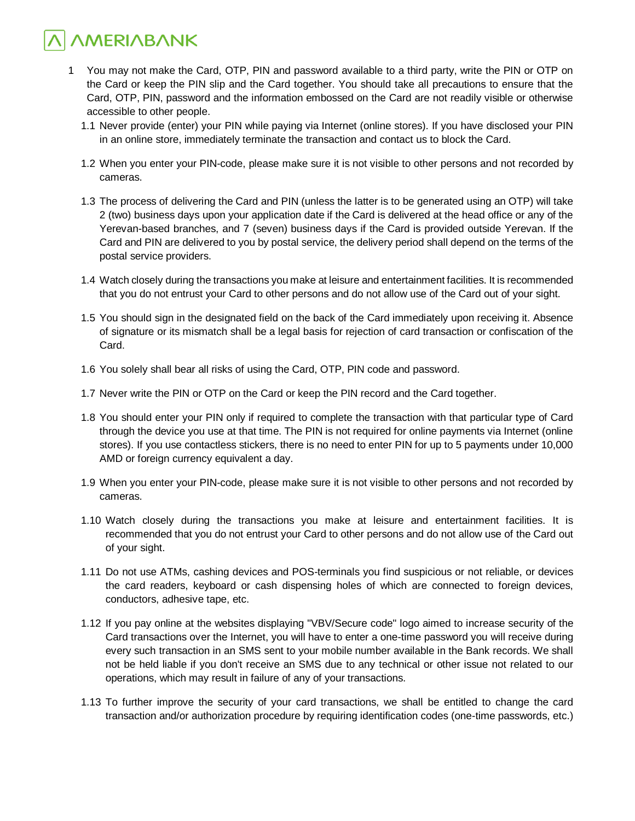- 1 You may not make the Card, OTP, PIN and password available to a third party, write the PIN or OTP on the Card or keep the PIN slip and the Card together. You should take all precautions to ensure that the Card, OTP, PIN, password and the information embossed on the Card are not readily visible or otherwise accessible to other people.
	- 1.1 Never provide (enter) your PIN while paying via Internet (online stores). If you have disclosed your PIN in an online store, immediately terminate the transaction and contact us to block the Card.
	- 1.2 When you enter your PIN-code, please make sure it is not visible to other persons and not recorded by cameras.
	- 1.3 The process of delivering the Card and PIN (unless the latter is to be generated using an OTP) will take 2 (two) business days upon your application date if the Card is delivered at the head office or any of the Yerevan-based branches, and 7 (seven) business days if the Card is provided outside Yerevan. If the Card and PIN are delivered to you by postal service, the delivery period shall depend on the terms of the postal service providers.
	- 1.4 Watch closely during the transactions you make at leisure and entertainment facilities. It is recommended that you do not entrust your Card to other persons and do not allow use of the Card out of your sight.
	- 1.5 You should sign in the designated field on the back of the Card immediately upon receiving it. Absence of signature or its mismatch shall be a legal basis for rejection of card transaction or confiscation of the Card.
	- 1.6 You solely shall bear all risks of using the Card, OTP, PIN code and password.
	- 1.7 Never write the PIN or OTP on the Card or keep the PIN record and the Card together.
	- 1.8 You should enter your PIN only if required to complete the transaction with that particular type of Card through the device you use at that time. The PIN is not required for online payments via Internet (online stores). If you use contactless stickers, there is no need to enter PIN for up to 5 payments under 10,000 AMD or foreign currency equivalent a day.
	- 1.9 When you enter your PIN-code, please make sure it is not visible to other persons and not recorded by cameras.
	- 1.10 Watch closely during the transactions you make at leisure and entertainment facilities. It is recommended that you do not entrust your Card to other persons and do not allow use of the Card out of your sight.
	- 1.11 Do not use ATMs, cashing devices and POS-terminals you find suspicious or not reliable, or devices the card readers, keyboard or cash dispensing holes of which are connected to foreign devices, conductors, adhesive tape, etc.
	- 1.12 If you pay online at the websites displaying "VBV/Secure code" logo aimed to increase security of the Card transactions over the Internet, you will have to enter a one-time password you will receive during every such transaction in an SMS sent to your mobile number available in the Bank records. We shall not be held liable if you don't receive an SMS due to any technical or other issue not related to our operations, which may result in failure of any of your transactions.
	- 1.13 To further improve the security of your card transactions, we shall be entitled to change the card transaction and/or authorization procedure by requiring identification codes (one-time passwords, etc.)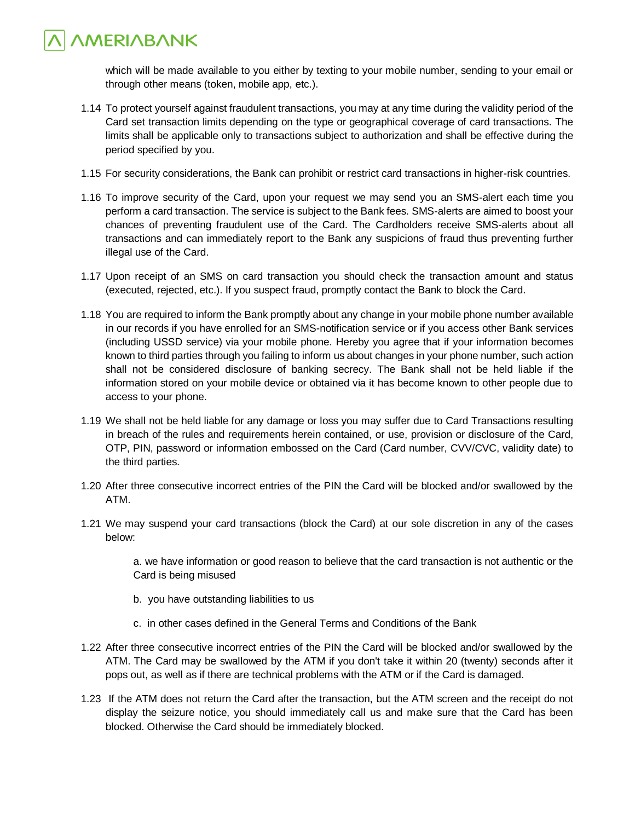which will be made available to you either by texting to your mobile number, sending to your email or through other means (token, mobile app, etc.).

- 1.14 To protect yourself against fraudulent transactions, you may at any time during the validity period of the Card set transaction limits depending on the type or geographical coverage of card transactions. The limits shall be applicable only to transactions subject to authorization and shall be effective during the period specified by you.
- 1.15 For security considerations, the Bank can prohibit or restrict card transactions in higher-risk countries.
- 1.16 To improve security of the Card, upon your request we may send you an SMS-alert each time you perform a card transaction. The service is subject to the Bank fees. SMS-alerts are aimed to boost your chances of preventing fraudulent use of the Card. The Cardholders receive SMS-alerts about all transactions and can immediately report to the Bank any suspicions of fraud thus preventing further illegal use of the Card.
- 1.17 Upon receipt of an SMS on card transaction you should check the transaction amount and status (executed, rejected, etc.). If you suspect fraud, promptly contact the Bank to block the Card.
- 1.18 You are required to inform the Bank promptly about any change in your mobile phone number available in our records if you have enrolled for an SMS-notification service or if you access other Bank services (including USSD service) via your mobile phone. Hereby you agree that if your information becomes known to third parties through you failing to inform us about changes in your phone number, such action shall not be considered disclosure of banking secrecy. The Bank shall not be held liable if the information stored on your mobile device or obtained via it has become known to other people due to access to your phone.
- 1.19 We shall not be held liable for any damage or loss you may suffer due to Card Transactions resulting in breach of the rules and requirements herein contained, or use, provision or disclosure of the Card, OTP, PIN, password or information embossed on the Card (Card number, CVV/CVC, validity date) to the third parties.
- 1.20 After three consecutive incorrect entries of the PIN the Card will be blocked and/or swallowed by the ATM.
- 1.21 We may suspend your card transactions (block the Card) at our sole discretion in any of the cases below:

a. we have information or good reason to believe that the card transaction is not authentic or the Card is being misused

- b. you have outstanding liabilities to us
- c. in other cases defined in the General Terms and Conditions of the Bank
- 1.22 After three consecutive incorrect entries of the PIN the Card will be blocked and/or swallowed by the ATM. The Card may be swallowed by the ATM if you don't take it within 20 (twenty) seconds after it pops out, as well as if there are technical problems with the ATM or if the Card is damaged.
- 1.23 If the ATM does not return the Card after the transaction, but the ATM screen and the receipt do not display the seizure notice, you should immediately call us and make sure that the Card has been blocked. Otherwise the Card should be immediately blocked.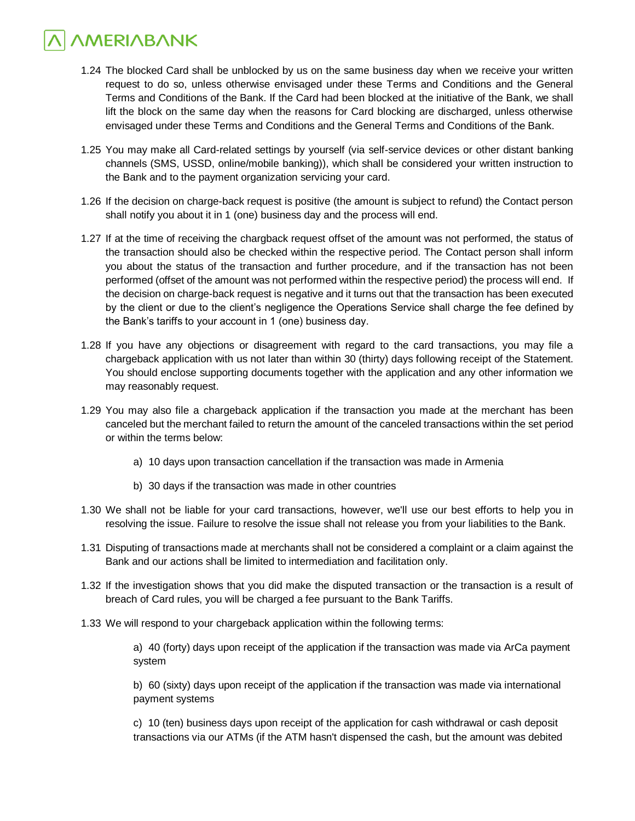- 1.24 The blocked Card shall be unblocked by us on the same business day when we receive your written request to do so, unless otherwise envisaged under these Terms and Conditions and the General Terms and Conditions of the Bank. If the Card had been blocked at the initiative of the Bank, we shall lift the block on the same day when the reasons for Card blocking are discharged, unless otherwise envisaged under these Terms and Conditions and the General Terms and Conditions of the Bank.
- 1.25 You may make all Card-related settings by yourself (via self-service devices or other distant banking channels (SMS, USSD, online/mobile banking)), which shall be considered your written instruction to the Bank and to the payment organization servicing your card.
- 1.26 If the decision on charge-back request is positive (the amount is subject to refund) the Contact person shall notify you about it in 1 (one) business day and the process will end.
- 1.27 If at the time of receiving the chargback request offset of the amount was not performed, the status of the transaction should also be checked within the respective period. The Contact person shall inform you about the status of the transaction and further procedure, and if the transaction has not been performed (offset of the amount was not performed within the respective period) the process will end. If the decision on charge-back request is negative and it turns out that the transaction has been executed by the client or due to the client's negligence the Operations Service shall charge the fee defined by the Bank's tariffs to your account in 1 (one) business day.
- 1.28 If you have any objections or disagreement with regard to the card transactions, you may file a chargeback application with us not later than within 30 (thirty) days following receipt of the Statement. You should enclose supporting documents together with the application and any other information we may reasonably request.
- 1.29 You may also file a chargeback application if the transaction you made at the merchant has been canceled but the merchant failed to return the amount of the canceled transactions within the set period or within the terms below:
	- a) 10 days upon transaction cancellation if the transaction was made in Armenia
	- b) 30 days if the transaction was made in other countries
- 1.30 We shall not be liable for your card transactions, however, we'll use our best efforts to help you in resolving the issue. Failure to resolve the issue shall not release you from your liabilities to the Bank.
- 1.31 Disputing of transactions made at merchants shall not be considered a complaint or a claim against the Bank and our actions shall be limited to intermediation and facilitation only.
- 1.32 If the investigation shows that you did make the disputed transaction or the transaction is a result of breach of Card rules, you will be charged a fee pursuant to the Bank Tariffs.
- 1.33 We will respond to your chargeback application within the following terms:

a) 40 (forty) days upon receipt of the application if the transaction was made via ArCa payment system

b) 60 (sixty) days upon receipt of the application if the transaction was made via international payment systems

c) 10 (ten) business days upon receipt of the application for cash withdrawal or cash deposit transactions via our ATMs (if the ATM hasn't dispensed the cash, but the amount was debited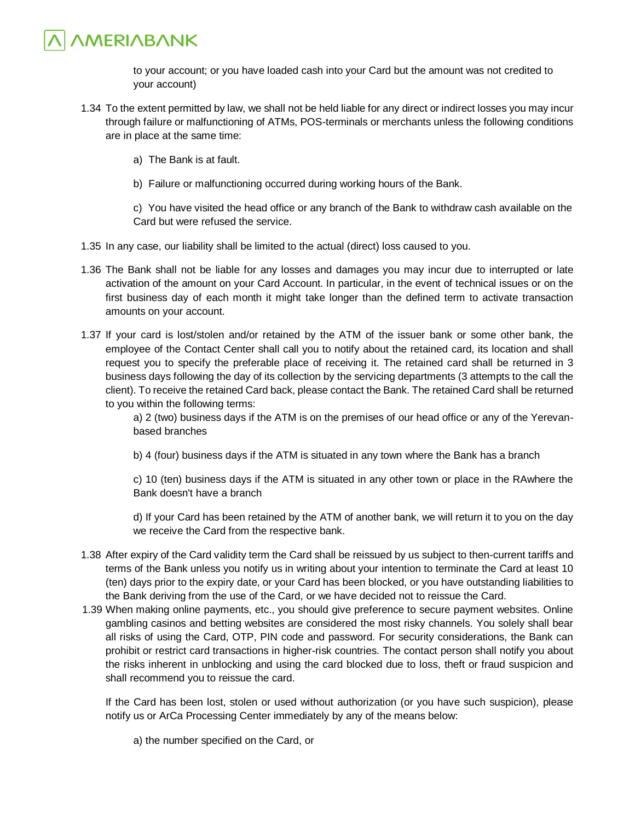to your account; or you have loaded cash into your Card but the amount was not credited to your account)

- 1.34 To the extent permitted by law, we shall not be held liable for any direct or indirect losses you may incur through failure or malfunctioning of ATMs, POS-terminals or merchants unless the following conditions are in place at the same time:
	- a) The Bank is at fault.
	- b) Failure or malfunctioning occurred during working hours of the Bank.

c) You have visited the head office or any branch of the Bank to withdraw cash available on the Card but were refused the service.

- 1.35 In any case, our liability shall be limited to the actual (direct) loss caused to you.
- 1.36 The Bank shall not be liable for any losses and damages you may incur due to interrupted or late activation of the amount on your Card Account. In particular, in the event of technical issues or on the first business day of each month it might take longer than the defined term to activate transaction amounts on your account.
- 1.37 If your card is lost/stolen and/or retained by the ATM of the issuer bank or some other bank, the employee of the Contact Center shall call you to notify about the retained card, its location and shall request you to specify the preferable place of receiving it. The retained card shall be returned in 3 business days following the day of its collection by the servicing departments (3 attempts to the call the client). To receive the retained Card back, please contact the Bank. The retained Card shall be returned to you within the following terms:

a) 2 (two) business days if the ATM is on the premises of our head office or any of the Yerevanbased branches

b) 4 (four) business days if the ATM is situated in any town where the Bank has a branch

c) 10 (ten) business days if the ATM is situated in any other town or place in the RAwhere the Bank doesn't have a branch

d) If your Card has been retained by the ATM of another bank, we will return it to you on the day we receive the Card from the respective bank.

- 1.38 After expiry of the Card validity term the Card shall be reissued by us subject to then-current tariffs and terms of the Bank unless you notify us in writing about your intention to terminate the Card at least 10 (ten) days prior to the expiry date, or your Card has been blocked, or you have outstanding liabilities to the Bank deriving from the use of the Card, or we have decided not to reissue the Card.
- 1.39 When making online payments, etc., you should give preference to secure payment websites. Online gambling casinos and betting websites are considered the most risky channels. You solely shall bear all risks of using the Card, OTP, PIN code and password. For security considerations, the Bank can prohibit or restrict card transactions in higher-risk countries. The contact person shall notify you about the risks inherent in unblocking and using the card blocked due to loss, theft or fraud suspicion and shall recommend you to reissue the card.

If the Card has been lost, stolen or used without authorization (or you have such suspicion), please notify us or ArCa Processing Center immediately by any of the means below:

a) the number specified on the Card, or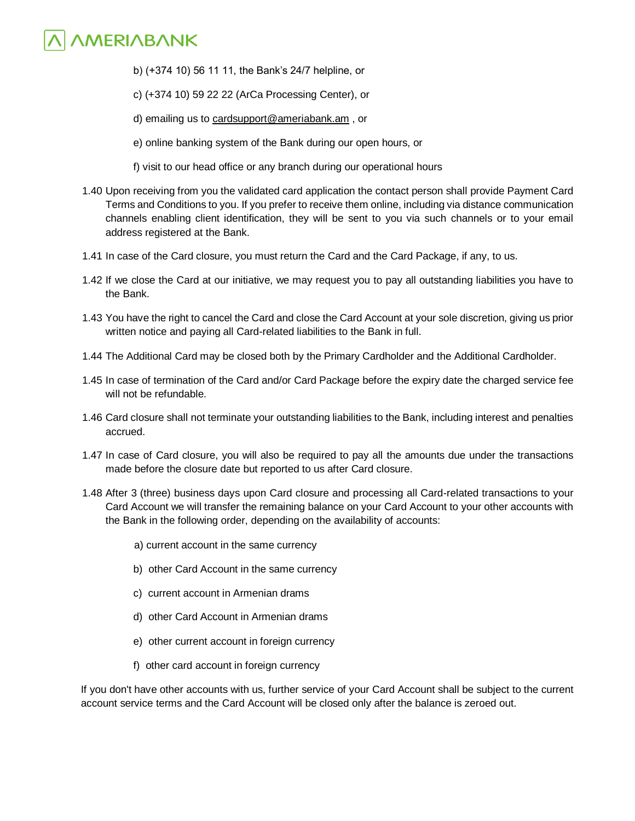- b) (+374 10) 56 11 11, the Bank's 24/7 helpline, or
- c) (+374 10) 59 22 22 (ArCa Processing Center), or
- d) emailing us to [cardsupport@ameriabank.am](mailto:) , or
- e) online banking system of the Bank during our open hours, or
- f) visit to our head office or any branch during our operational hours
- 1.40 Upon receiving from you the validated card application the contact person shall provide Payment Card Terms and Conditions to you. If you prefer to receive them online, including via distance communication channels enabling client identification, they will be sent to you via such channels or to your email address registered at the Bank.
- 1.41 In case of the Card closure, you must return the Card and the Card Package, if any, to us.
- 1.42 If we close the Card at our initiative, we may request you to pay all outstanding liabilities you have to the Bank.
- 1.43 You have the right to cancel the Card and close the Card Account at your sole discretion, giving us prior written notice and paying all Card-related liabilities to the Bank in full.
- 1.44 The Additional Card may be closed both by the Primary Cardholder and the Additional Cardholder.
- 1.45 In case of termination of the Card and/or Card Package before the expiry date the charged service fee will not be refundable.
- 1.46 Card closure shall not terminate your outstanding liabilities to the Bank, including interest and penalties accrued.
- 1.47 In case of Card closure, you will also be required to pay all the amounts due under the transactions made before the closure date but reported to us after Card closure.
- 1.48 After 3 (three) business days upon Card closure and processing all Card-related transactions to your Card Account we will transfer the remaining balance on your Card Account to your other accounts with the Bank in the following order, depending on the availability of accounts:
	- a) current account in the same currency
	- b) other Card Account in the same currency
	- c) current account in Armenian drams
	- d) other Card Account in Armenian drams
	- e) other current account in foreign currency
	- f) other card account in foreign currency

If you don't have other accounts with us, further service of your Card Account shall be subject to the current account service terms and the Card Account will be closed only after the balance is zeroed out.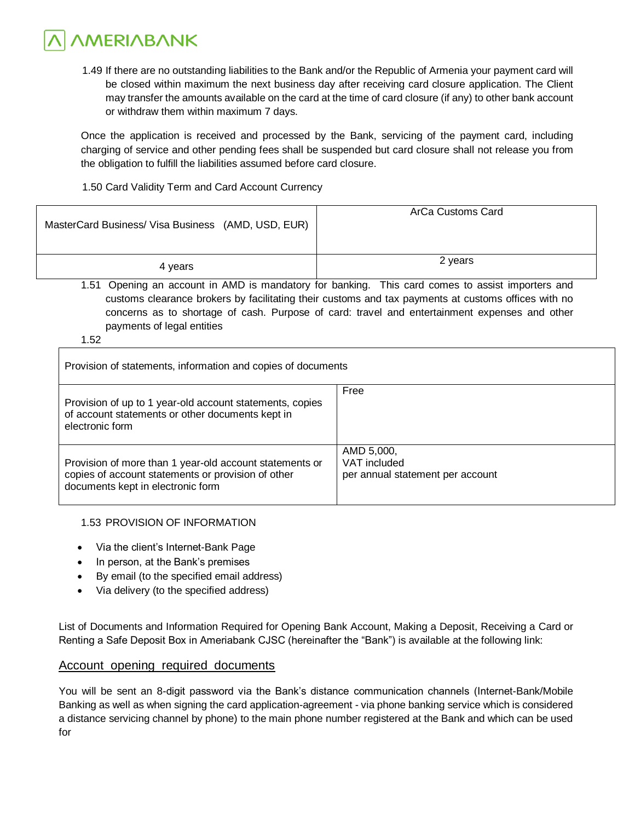1.49 If there are no outstanding liabilities to the Bank and/or the Republic of Armenia your payment card will be closed within maximum the next business day after receiving card closure application. The Client may transfer the amounts available on the card at the time of card closure (if any) to other bank account or withdraw them within maximum 7 days.

Once the application is received and processed by the Bank, servicing of the payment card, including charging of service and other pending fees shall be suspended but card closure shall not release you from the obligation to fulfill the liabilities assumed before card closure.

1.50 Card Validity Term and Card Account Currency

| MasterCard Business/ Visa Business (AMD, USD, EUR) | ArCa Customs Card         |
|----------------------------------------------------|---------------------------|
| 4 years<br>.<br>$\cdot$ $ \cdot$ $\sim$            | 2 years<br>. .<br>--<br>. |

1.51 Opening an account in AMD is mandatory for banking. This card comes to assist importers and customs clearance brokers by facilitating their customs and tax payments at customs offices with no concerns as to shortage of cash. Purpose of card: travel and entertainment expenses and other payments of legal entities

1.52

Provision of statements, information and copies of documents Provision of up to 1 year-old account statements, copies of account statements or other documents kept in electronic form Free Provision of more than 1 year-old account statements or copies of account statements or provision of other documents kept in electronic form AMD 5,000, VAT included per annual statement per account

1.53 PROVISION OF INFORMATION

- Via the client's Internet-Bank Page
- In person, at the Bank's premises
- By email (to the specified email address)
- Via delivery (to the specified address)

List of Documents and Information Required for Opening Bank Account, Making a Deposit, Receiving a Card or Renting a Safe Deposit Box in Ameriabank CJSC (hereinafter the "Bank") is available at the following link:

#### [Account\\_opening\\_required\\_documents](https://ameriabank.am/userfiles/file/Account_openning_required_documents_2.pdf)

You will be sent an 8-digit password via the Bank's distance communication channels (Internet-Bank/Mobile Banking as well as when signing the card application-agreement - via phone banking service which is considered a distance servicing channel by phone) to the main phone number registered at the Bank and which can be used for